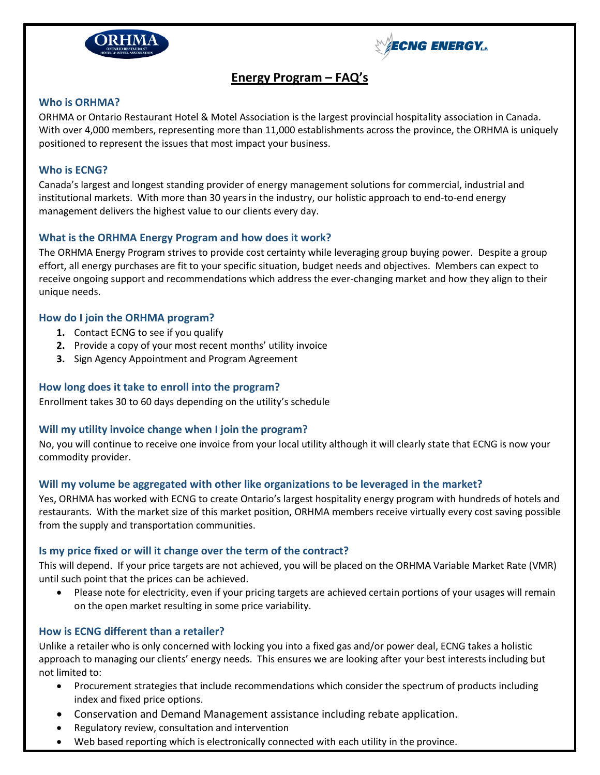



# **Energy Program – FAQ's**

# **Who is ORHMA?**

ORHMA or Ontario Restaurant Hotel & Motel Association is the largest provincial hospitality association in Canada. With over 4,000 members, representing more than 11,000 establishments across the province, the ORHMA is uniquely positioned to represent the issues that most impact your business.

# **Who is ECNG?**

Canada's largest and longest standing provider of energy management solutions for commercial, industrial and institutional markets. With more than 30 years in the industry, our holistic approach to end-to-end energy management delivers the highest value to our clients every day.

# **What is the ORHMA Energy Program and how does it work?**

The ORHMA Energy Program strives to provide cost certainty while leveraging group buying power. Despite a group effort, all energy purchases are fit to your specific situation, budget needs and objectives. Members can expect to receive ongoing support and recommendations which address the ever-changing market and how they align to their unique needs.

# **How do I join the ORHMA program?**

- **1.** Contact ECNG to see if you qualify
- **2.** Provide a copy of your most recent months' utility invoice
- **3.** Sign Agency Appointment and Program Agreement

# **How long does it take to enroll into the program?**

Enrollment takes 30 to 60 days depending on the utility's schedule

### **Will my utility invoice change when I join the program?**

No, you will continue to receive one invoice from your local utility although it will clearly state that ECNG is now your commodity provider.

### **Will my volume be aggregated with other like organizations to be leveraged in the market?**

Yes, ORHMA has worked with ECNG to create Ontario's largest hospitality energy program with hundreds of hotels and restaurants. With the market size of this market position, ORHMA members receive virtually every cost saving possible from the supply and transportation communities.

### **Is my price fixed or will it change over the term of the contract?**

This will depend. If your price targets are not achieved, you will be placed on the ORHMA Variable Market Rate (VMR) until such point that the prices can be achieved.

 Please note for electricity, even if your pricing targets are achieved certain portions of your usages will remain on the open market resulting in some price variability.

# **How is ECNG different than a retailer?**

Unlike a retailer who is only concerned with locking you into a fixed gas and/or power deal, ECNG takes a holistic approach to managing our clients' energy needs. This ensures we are looking after your best interests including but not limited to:

- Procurement strategies that include recommendations which consider the spectrum of products including index and fixed price options.
- Conservation and Demand Management assistance including rebate application.
- Regulatory review, consultation and intervention
- Web based reporting which is electronically connected with each utility in the province.